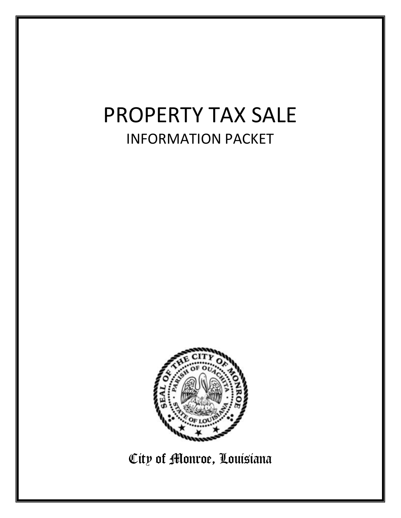# PROPERTY TAX SALE INFORMATION PACKET



City of Monroe, Louisiana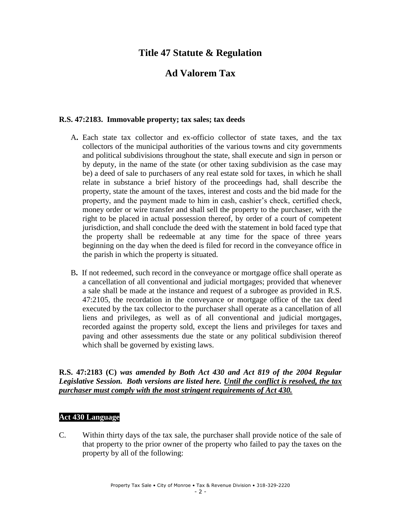### **Title 47 Statute & Regulation**

## **Ad Valorem Tax**

#### **R.S. 47:2183. Immovable property; tax sales; tax deeds**

- A**.** Each state tax collector and ex-officio collector of state taxes, and the tax collectors of the municipal authorities of the various towns and city governments and political subdivisions throughout the state, shall execute and sign in person or by deputy, in the name of the state (or other taxing subdivision as the case may be) a deed of sale to purchasers of any real estate sold for taxes, in which he shall relate in substance a brief history of the proceedings had, shall describe the property, state the amount of the taxes, interest and costs and the bid made for the property, and the payment made to him in cash, cashier's check, certified check, money order or wire transfer and shall sell the property to the purchaser, with the right to be placed in actual possession thereof, by order of a court of competent jurisdiction, and shall conclude the deed with the statement in bold faced type that the property shall be redeemable at any time for the space of three years beginning on the day when the deed is filed for record in the conveyance office in the parish in which the property is situated.
- B**.** If not redeemed, such record in the conveyance or mortgage office shall operate as a cancellation of all conventional and judicial mortgages; provided that whenever a sale shall be made at the instance and request of a subrogee as provided in R.S. 47:2105, the recordation in the conveyance or mortgage office of the tax deed executed by the tax collector to the purchaser shall operate as a cancellation of all liens and privileges, as well as of all conventional and judicial mortgages, recorded against the property sold, except the liens and privileges for taxes and paving and other assessments due the state or any political subdivision thereof which shall be governed by existing laws.

**R.S. 47:2183 (C)** *was amended by Both Act 430 and Act 819 of the 2004 Regular Legislative Session. Both versions are listed here. Until the conflict is resolved, the tax purchaser must comply with the most stringent requirements of Act 430.*

#### **Act 430 Language**

C. Within thirty days of the tax sale, the purchaser shall provide notice of the sale of that property to the prior owner of the property who failed to pay the taxes on the property by all of the following: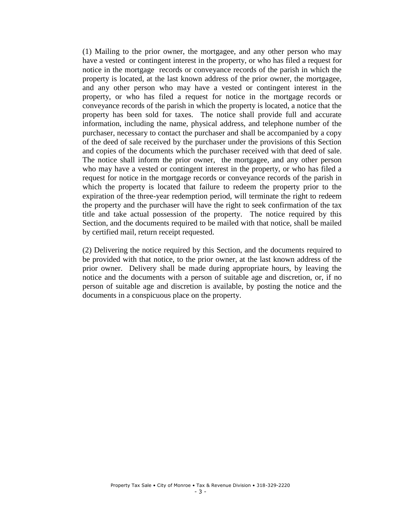(1) Mailing to the prior owner, the mortgagee, and any other person who may have a vested or contingent interest in the property, or who has filed a request for notice in the mortgage records or conveyance records of the parish in which the property is located, at the last known address of the prior owner, the mortgagee, and any other person who may have a vested or contingent interest in the property, or who has filed a request for notice in the mortgage records or conveyance records of the parish in which the property is located, a notice that the property has been sold for taxes. The notice shall provide full and accurate information, including the name, physical address, and telephone number of the purchaser, necessary to contact the purchaser and shall be accompanied by a copy of the deed of sale received by the purchaser under the provisions of this Section and copies of the documents which the purchaser received with that deed of sale. The notice shall inform the prior owner, the mortgagee, and any other person who may have a vested or contingent interest in the property, or who has filed a request for notice in the mortgage records or conveyance records of the parish in which the property is located that failure to redeem the property prior to the expiration of the three-year redemption period, will terminate the right to redeem the property and the purchaser will have the right to seek confirmation of the tax title and take actual possession of the property. The notice required by this Section, and the documents required to be mailed with that notice, shall be mailed by certified mail, return receipt requested.

(2) Delivering the notice required by this Section, and the documents required to be provided with that notice, to the prior owner, at the last known address of the prior owner. Delivery shall be made during appropriate hours, by leaving the notice and the documents with a person of suitable age and discretion, or, if no person of suitable age and discretion is available, by posting the notice and the documents in a conspicuous place on the property.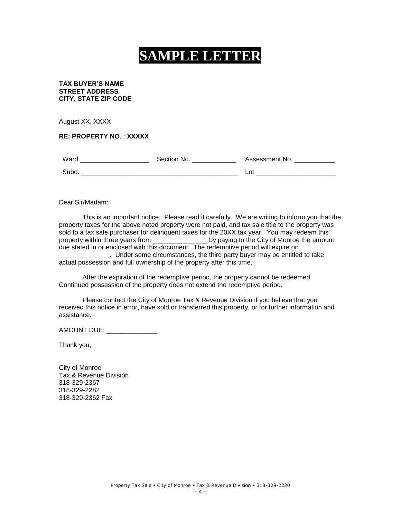# **SAMPLE LETTER**

#### **TAX BUYER'S NAME STREET ADDRESS CITY, STATE ZIP CODE**

August XX, XXXX

**RE: PROPERTY NO**. : **XXXXX**

| Ward  | Section<br>N∩ | Assessment No. |
|-------|---------------|----------------|
| Suba. |               | n1<br>--       |

Dear Sir/Madam:

This is an important notice. Please read it carefully. We are writing to inform you that the property taxes for the above noted property were not paid, and tax sale title to the property was sold to a tax sale purchaser for delinquent taxes for the 20XX tax year. You may redeem this property within three years from \_\_\_\_\_\_\_\_\_\_\_\_\_\_\_ by paying to the City of Monroe the amount due stated in or enclosed with this document. The redemptive period will expire on **\_\_\_\_\_\_\_\_\_.** Under some circumstances, the third party buyer may be entitled to take actual possession and full ownership of the property after this time.

After the expiration of the redemptive period, the property cannot be redeemed. Continued possession of the property does not extend the redemptive period.

Please contact the City of Monroe Tax & Revenue Division if you believe that you received this notice in error, have sold or transferred this property, or for further information and assistance.

AMOUNT DUE: \_\_\_\_\_\_\_\_\_\_\_\_\_\_

Thank you,

City of Monroe Tax & Revenue Division 318-329-2367 318-329-2282 318-329-2362 Fax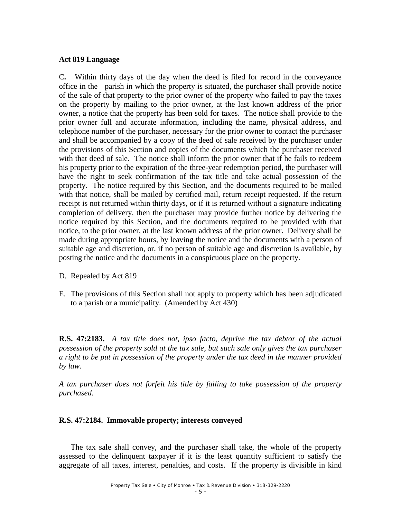#### **Act 819 Language**

C**.** Within thirty days of the day when the deed is filed for record in the conveyance office in the parish in which the property is situated, the purchaser shall provide notice of the sale of that property to the prior owner of the property who failed to pay the taxes on the property by mailing to the prior owner, at the last known address of the prior owner, a notice that the property has been sold for taxes. The notice shall provide to the prior owner full and accurate information, including the name, physical address, and telephone number of the purchaser, necessary for the prior owner to contact the purchaser and shall be accompanied by a copy of the deed of sale received by the purchaser under the provisions of this Section and copies of the documents which the purchaser received with that deed of sale. The notice shall inform the prior owner that if he fails to redeem his property prior to the expiration of the three-year redemption period, the purchaser will have the right to seek confirmation of the tax title and take actual possession of the property. The notice required by this Section, and the documents required to be mailed with that notice, shall be mailed by certified mail, return receipt requested. If the return receipt is not returned within thirty days, or if it is returned without a signature indicating completion of delivery, then the purchaser may provide further notice by delivering the notice required by this Section, and the documents required to be provided with that notice, to the prior owner, at the last known address of the prior owner. Delivery shall be made during appropriate hours, by leaving the notice and the documents with a person of suitable age and discretion, or, if no person of suitable age and discretion is available, by posting the notice and the documents in a conspicuous place on the property.

- D. Repealed by Act 819
- E. The provisions of this Section shall not apply to property which has been adjudicated to a parish or a municipality. (Amended by Act 430)

**R.S. 47:2183.** *A tax title does not, ipso facto, deprive the tax debtor of the actual possession of the property sold at the tax sale, but such sale only gives the tax purchaser a right to be put in possession of the property under the tax deed in the manner provided by law.* 

*A tax purchaser does not forfeit his title by failing to take possession of the property purchased*.

#### **R.S. 47:2184. Immovable property; interests conveyed**

The tax sale shall convey, and the purchaser shall take, the whole of the property assessed to the delinquent taxpayer if it is the least quantity sufficient to satisfy the aggregate of all taxes, interest, penalties, and costs. If the property is divisible in kind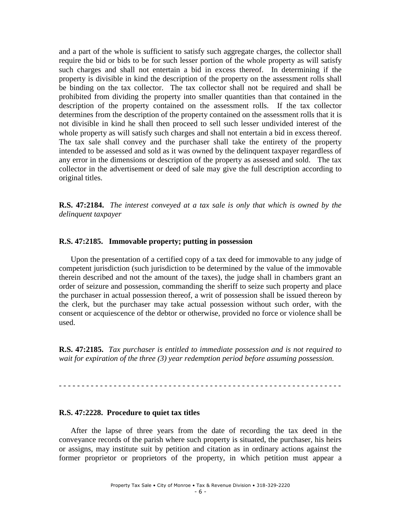and a part of the whole is sufficient to satisfy such aggregate charges, the collector shall require the bid or bids to be for such lesser portion of the whole property as will satisfy such charges and shall not entertain a bid in excess thereof. In determining if the property is divisible in kind the description of the property on the assessment rolls shall be binding on the tax collector. The tax collector shall not be required and shall be prohibited from dividing the property into smaller quantities than that contained in the description of the property contained on the assessment rolls. If the tax collector determines from the description of the property contained on the assessment rolls that it is not divisible in kind he shall then proceed to sell such lesser undivided interest of the whole property as will satisfy such charges and shall not entertain a bid in excess thereof. The tax sale shall convey and the purchaser shall take the entirety of the property intended to be assessed and sold as it was owned by the delinquent taxpayer regardless of any error in the dimensions or description of the property as assessed and sold. The tax collector in the advertisement or deed of sale may give the full description according to original titles.

**R.S. 47:2184.** *The interest conveyed at a tax sale is only that which is owned by the delinquent taxpayer*

#### **R.S. 47:2185. Immovable property; putting in possession**

Upon the presentation of a certified copy of a tax deed for immovable to any judge of competent jurisdiction (such jurisdiction to be determined by the value of the immovable therein described and not the amount of the taxes), the judge shall in chambers grant an order of seizure and possession, commanding the sheriff to seize such property and place the purchaser in actual possession thereof, a writ of possession shall be issued thereon by the clerk, but the purchaser may take actual possession without such order, with the consent or acquiescence of the debtor or otherwise, provided no force or violence shall be used.

**R.S. 47:2185.** *Tax purchaser is entitled to immediate possession and is not required to wait for expiration of the three (3) year redemption period before assuming possession.*

- - - - - - - - - - - - - - - - - - - - - - - - - - - - - - - - - - - - - - - - - - - - - - - - - - - - - - - - - - - - - -

#### **R.S. 47:2228. Procedure to quiet tax titles**

After the lapse of three years from the date of recording the tax deed in the conveyance records of the parish where such property is situated, the purchaser, his heirs or assigns, may institute suit by petition and citation as in ordinary actions against the former proprietor or proprietors of the property, in which petition must appear a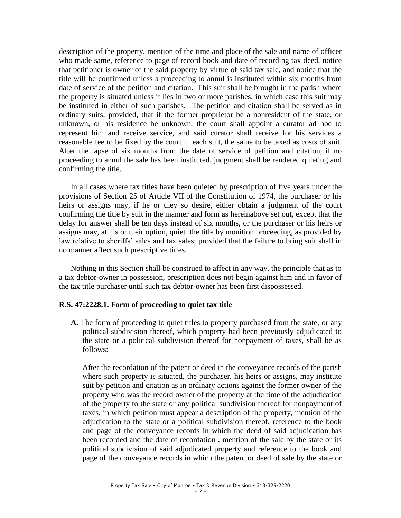description of the property, mention of the time and place of the sale and name of officer who made same, reference to page of record book and date of recording tax deed, notice that petitioner is owner of the said property by virtue of said tax sale, and notice that the title will be confirmed unless a proceeding to annul is instituted within six months from date of service of the petition and citation. This suit shall be brought in the parish where the property is situated unless it lies in two or more parishes, in which case this suit may be instituted in either of such parishes. The petition and citation shall be served as in ordinary suits; provided, that if the former proprietor be a nonresident of the state, or unknown, or his residence be unknown, the court shall appoint a curator ad hoc to represent him and receive service, and said curator shall receive for his services a reasonable fee to be fixed by the court in each suit, the same to be taxed as costs of suit. After the lapse of six months from the date of service of petition and citation, if no proceeding to annul the sale has been instituted, judgment shall be rendered quieting and confirming the title.

In all cases where tax titles have been quieted by prescription of five years under the provisions of Section 25 of Article VII of the Constitution of 1974, the purchaser or his heirs or assigns may, if he or they so desire, either obtain a judgment of the court confirming the title by suit in the manner and form as hereinabove set out, except that the delay for answer shall be ten days instead of six months, or the purchaser or his heirs or assigns may, at his or their option, quiet the title by monition proceeding, as provided by law relative to sheriffs' sales and tax sales; provided that the failure to bring suit shall in no manner affect such prescriptive titles.

Nothing in this Section shall be construed to affect in any way, the principle that as to a tax debtor-owner in possession, prescription does not begin against him and in favor of the tax title purchaser until such tax debtor-owner has been first dispossessed.

#### **R.S. 47:2228.1. Form of proceeding to quiet tax title**

**A.** The form of proceeding to quiet titles to property purchased from the state, or any political subdivision thereof, which property had been previously adjudicated to the state or a political subdivision thereof for nonpayment of taxes, shall be as follows:

After the recordation of the patent or deed in the conveyance records of the parish where such property is situated, the purchaser, his heirs or assigns, may institute suit by petition and citation as in ordinary actions against the former owner of the property who was the record owner of the property at the time of the adjudication of the property to the state or any political subdivision thereof for nonpayment of taxes, in which petition must appear a description of the property, mention of the adjudication to the state or a political subdivision thereof, reference to the book and page of the conveyance records in which the deed of said adjudication has been recorded and the date of recordation , mention of the sale by the state or its political subdivision of said adjudicated property and reference to the book and page of the conveyance records in which the patent or deed of sale by the state or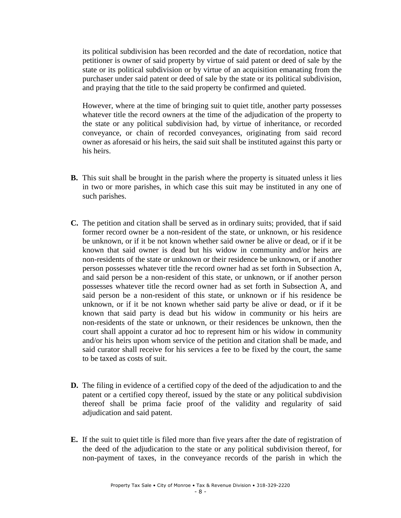its political subdivision has been recorded and the date of recordation, notice that petitioner is owner of said property by virtue of said patent or deed of sale by the state or its political subdivision or by virtue of an acquisition emanating from the purchaser under said patent or deed of sale by the state or its political subdivision, and praying that the title to the said property be confirmed and quieted.

However, where at the time of bringing suit to quiet title, another party possesses whatever title the record owners at the time of the adjudication of the property to the state or any political subdivision had, by virtue of inheritance, or recorded conveyance, or chain of recorded conveyances, originating from said record owner as aforesaid or his heirs, the said suit shall be instituted against this party or his heirs.

- **B.** This suit shall be brought in the parish where the property is situated unless it lies in two or more parishes, in which case this suit may be instituted in any one of such parishes.
- **C.** The petition and citation shall be served as in ordinary suits; provided, that if said former record owner be a non-resident of the state, or unknown, or his residence be unknown, or if it be not known whether said owner be alive or dead, or if it be known that said owner is dead but his widow in community and/or heirs are non-residents of the state or unknown or their residence be unknown, or if another person possesses whatever title the record owner had as set forth in Subsection A, and said person be a non-resident of this state, or unknown, or if another person possesses whatever title the record owner had as set forth in Subsection A, and said person be a non-resident of this state, or unknown or if his residence be unknown, or if it be not known whether said party be alive or dead, or if it be known that said party is dead but his widow in community or his heirs are non-residents of the state or unknown, or their residences be unknown, then the court shall appoint a curator ad hoc to represent him or his widow in community and/or his heirs upon whom service of the petition and citation shall be made, and said curator shall receive for his services a fee to be fixed by the court, the same to be taxed as costs of suit.
- **D.** The filing in evidence of a certified copy of the deed of the adjudication to and the patent or a certified copy thereof, issued by the state or any political subdivision thereof shall be prima facie proof of the validity and regularity of said adjudication and said patent.
- **E.** If the suit to quiet title is filed more than five years after the date of registration of the deed of the adjudication to the state or any political subdivision thereof, for non-payment of taxes, in the conveyance records of the parish in which the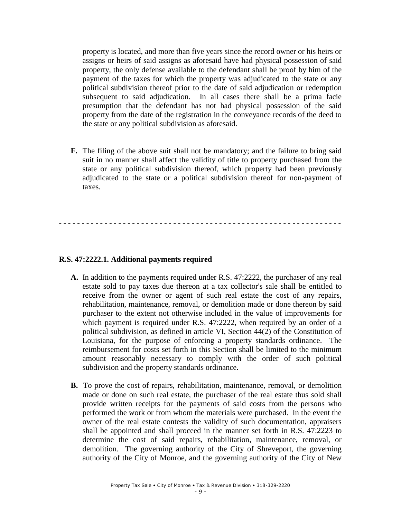property is located, and more than five years since the record owner or his heirs or assigns or heirs of said assigns as aforesaid have had physical possession of said property, the only defense available to the defendant shall be proof by him of the payment of the taxes for which the property was adjudicated to the state or any political subdivision thereof prior to the date of said adjudication or redemption subsequent to said adjudication. In all cases there shall be a prima facie presumption that the defendant has not had physical possession of the said property from the date of the registration in the conveyance records of the deed to the state or any political subdivision as aforesaid.

**F.** The filing of the above suit shall not be mandatory; and the failure to bring said suit in no manner shall affect the validity of title to property purchased from the state or any political subdivision thereof, which property had been previously adjudicated to the state or a political subdivision thereof for non-payment of taxes.

- - - - - - - - - - - - - - - - - - - - - - - - - - - - - - - - - - - - - - - - - - - - - - - - - - - - - - - - - - - - - -

#### **R.S. 47:2222.1. Additional payments required**

- **A.** In addition to the payments required under R.S. 47:2222, the purchaser of any real estate sold to pay taxes due thereon at a tax collector's sale shall be entitled to receive from the owner or agent of such real estate the cost of any repairs, rehabilitation, maintenance, removal, or demolition made or done thereon by said purchaser to the extent not otherwise included in the value of improvements for which payment is required under R.S. 47:2222, when required by an order of a political subdivision, as defined in article VI, Section 44(2) of the Constitution of Louisiana, for the purpose of enforcing a property standards ordinance. The reimbursement for costs set forth in this Section shall be limited to the minimum amount reasonably necessary to comply with the order of such political subdivision and the property standards ordinance.
- **B.** To prove the cost of repairs, rehabilitation, maintenance, removal, or demolition made or done on such real estate, the purchaser of the real estate thus sold shall provide written receipts for the payments of said costs from the persons who performed the work or from whom the materials were purchased. In the event the owner of the real estate contests the validity of such documentation, appraisers shall be appointed and shall proceed in the manner set forth in R.S. 47:2223 to determine the cost of said repairs, rehabilitation, maintenance, removal, or demolition. The governing authority of the City of Shreveport, the governing authority of the City of Monroe, and the governing authority of the City of New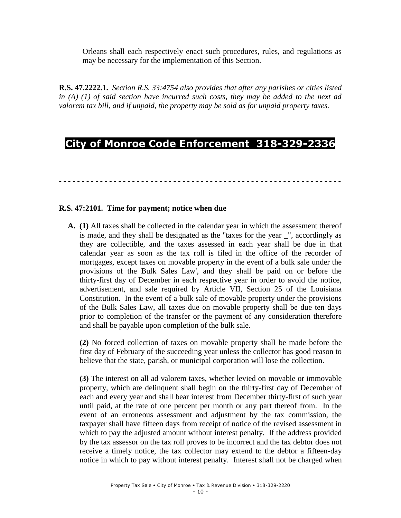Orleans shall each respectively enact such procedures, rules, and regulations as may be necessary for the implementation of this Section.

**R.S. 47.2222.1.** *Section R.S. 33:4754 also provides that after any parishes or cities listed in (A) (1) of said section have incurred such costs, they may be added to the next ad valorem tax bill, and if unpaid, the property may be sold as for unpaid property taxes.*

# **City of Monroe Code Enforcement 318-329-2336**

- - - - - - - - - - - - - - - - - - - - - - - - - - - - - - - - - - - - - - - - - - - - - - - - - - - - - - - - - - - - - -

#### **R.S. 47:2101. Time for payment; notice when due**

**A. (1)** All taxes shall be collected in the calendar year in which the assessment thereof is made, and they shall be designated as the "taxes for the year \_", accordingly as they are collectible, and the taxes assessed in each year shall be due in that calendar year as soon as the tax roll is filed in the office of the recorder of mortgages, except taxes on movable property in the event of a bulk sale under the provisions of the Bulk Sales Law', and they shall be paid on or before the thirty-first day of December in each respective year in order to avoid the notice, advertisement, and sale required by Article VII, Section 25 of the Louisiana Constitution. In the event of a bulk sale of movable property under the provisions of the Bulk Sales Law, all taxes due on movable property shall be due ten days prior to completion of the transfer or the payment of any consideration therefore and shall be payable upon completion of the bulk sale.

 **(2)** No forced collection of taxes on movable property shall be made before the first day of February of the succeeding year unless the collector has good reason to believe that the state, parish, or municipal corporation will lose the collection.

 **(3)** The interest on all ad valorem taxes, whether levied on movable or immovable property, which are delinquent shall begin on the thirty-first day of December of each and every year and shall bear interest from December thirty-first of such year until paid, at the rate of one percent per month or any part thereof from. In the event of an erroneous assessment and adjustment by the tax commission, the taxpayer shall have fifteen days from receipt of notice of the revised assessment in which to pay the adjusted amount without interest penalty. If the address provided by the tax assessor on the tax roll proves to be incorrect and the tax debtor does not receive a timely notice, the tax collector may extend to the debtor a fifteen-day notice in which to pay without interest penalty. Interest shall not be charged when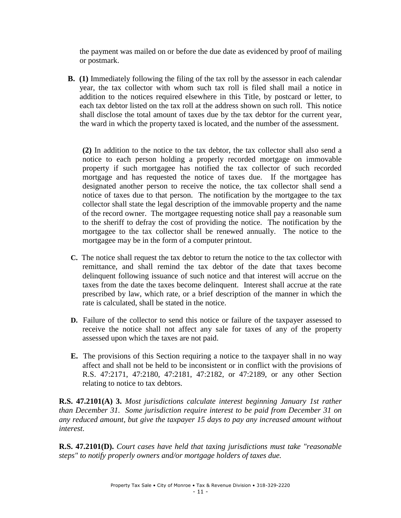the payment was mailed on or before the due date as evidenced by proof of mailing or postmark.

**B. (1)** Immediately following the filing of the tax roll by the assessor in each calendar year, the tax collector with whom such tax roll is filed shall mail a notice in addition to the notices required elsewhere in this Title, by postcard or letter, to each tax debtor listed on the tax roll at the address shown on such roll. This notice shall disclose the total amount of taxes due by the tax debtor for the current year, the ward in which the property taxed is located, and the number of the assessment.

**(2)** In addition to the notice to the tax debtor, the tax collector shall also send a notice to each person holding a properly recorded mortgage on immovable property if such mortgagee has notified the tax collector of such recorded mortgage and has requested the notice of taxes due. If the mortgagee has designated another person to receive the notice, the tax collector shall send a notice of taxes due to that person. The notification by the mortgagee to the tax collector shall state the legal description of the immovable property and the name of the record owner. The mortgagee requesting notice shall pay a reasonable sum to the sheriff to defray the cost of providing the notice. The notification by the mortgagee to the tax collector shall be renewed annually. The notice to the mortgagee may be in the form of a computer printout.

- **C.** The notice shall request the tax debtor to return the notice to the tax collector with remittance, and shall remind the tax debtor of the date that taxes become delinquent following issuance of such notice and that interest will accrue on the taxes from the date the taxes become delinquent. Interest shall accrue at the rate prescribed by law, which rate, or a brief description of the manner in which the rate is calculated, shall be stated in the notice.
- **D.** Failure of the collector to send this notice or failure of the taxpayer assessed to receive the notice shall not affect any sale for taxes of any of the property assessed upon which the taxes are not paid.
- **E.** The provisions of this Section requiring a notice to the taxpayer shall in no way affect and shall not be held to be inconsistent or in conflict with the provisions of R.S. 47:2171, 47:2180, 47:2181, 47:2182, or 47:2189, or any other Section relating to notice to tax debtors.

**R.S. 47.2101(A) 3.** *Most jurisdictions calculate interest beginning January 1st rather than December 31. Some jurisdiction require interest to be paid from December 31 on any reduced amount, but give the taxpayer 15 days to pay any increased amount without interest*.

**R.S. 47.2101(D).** *Court cases have held that taxing jurisdictions must take "reasonable steps" to notify properly owners and/or mortgage holders of taxes due.*